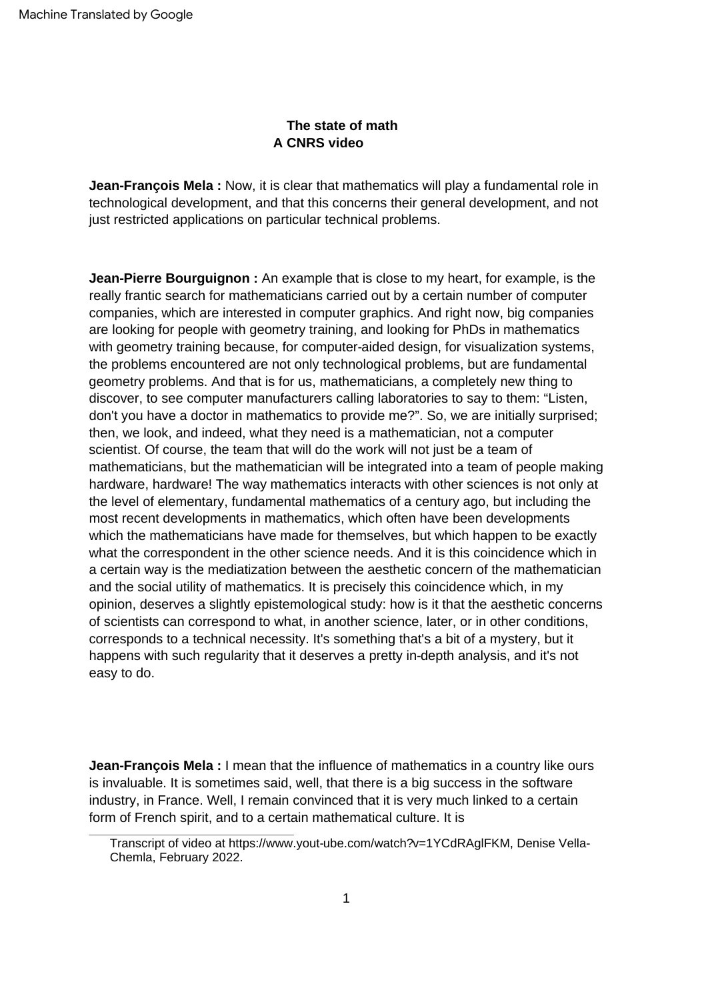## **The state of math A CNRS video**

**Jean-François Mela :** Now, it is clear that mathematics will play a fundamental role in technological development, and that this concerns their general development, and not just restricted applications on particular technical problems.

**Jean-Pierre Bourguignon :** An example that is close to my heart, for example, is the really frantic search for mathematicians carried out by a certain number of computer companies, which are interested in computer graphics. And right now, big companies are looking for people with geometry training, and looking for PhDs in mathematics with geometry training because, for computer-aided design, for visualization systems, the problems encountered are not only technological problems, but are fundamental geometry problems. And that is for us, mathematicians, a completely new thing to discover, to see computer manufacturers calling laboratories to say to them: "Listen, don't you have a doctor in mathematics to provide me?". So, we are initially surprised; then, we look, and indeed, what they need is a mathematician, not a computer scientist. Of course, the team that will do the work will not just be a team of mathematicians, but the mathematician will be integrated into a team of people making hardware, hardware! The way mathematics interacts with other sciences is not only at the level of elementary, fundamental mathematics of a century ago, but including the most recent developments in mathematics, which often have been developments which the mathematicians have made for themselves, but which happen to be exactly what the correspondent in the other science needs. And it is this coincidence which in a certain way is the mediatization between the aesthetic concern of the mathematician and the social utility of mathematics. It is precisely this coincidence which, in my opinion, deserves a slightly epistemological study: how is it that the aesthetic concerns of scientists can correspond to what, in another science, later, or in other conditions, corresponds to a technical necessity. It's something that's a bit of a mystery, but it happens with such regularity that it deserves a pretty in-depth analysis, and it's not easy to do.

**Jean-François Mela :** I mean that the influence of mathematics in a country like ours is invaluable. It is sometimes said, well, that there is a big success in the software industry, in France. Well, I remain convinced that it is very much linked to a certain form of French spirit, and to a certain mathematical culture. It is

Transcript of video at [https://www.yout-ube.com/watch?v=1YCdRAglFKM, D](https://www.yout-ube.com/watch?v=1YCdRAglFKM)enise Vella-Chemla, February 2022.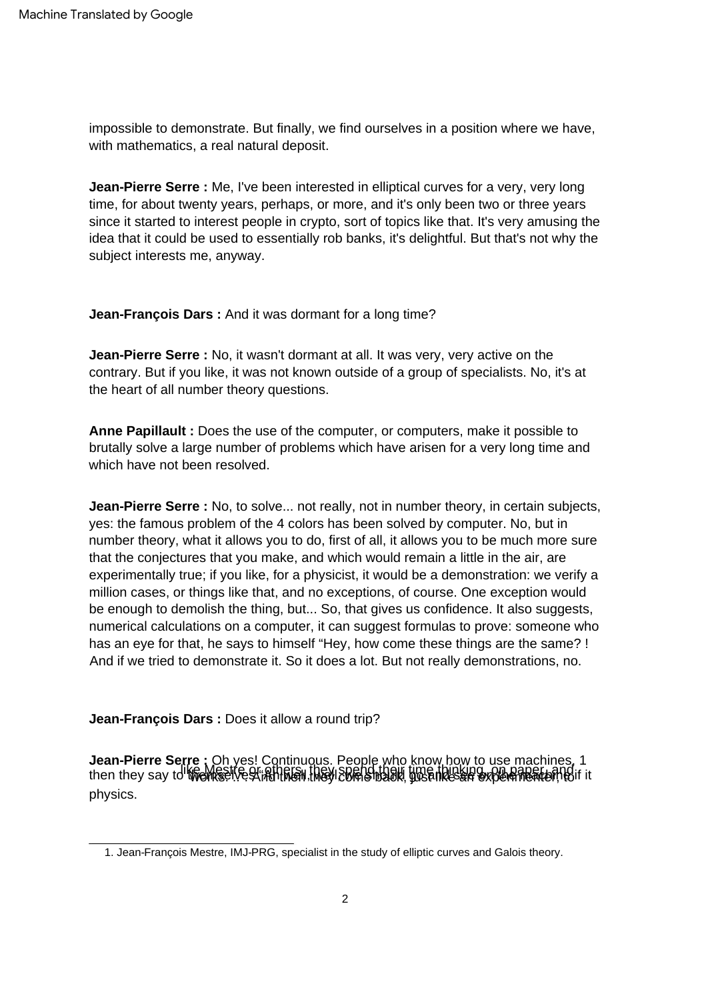impossible to demonstrate. But finally, we find ourselves in a position where we have, with mathematics, a real natural deposit.

**Jean-Pierre Serre :** Me, I've been interested in elliptical curves for a very, very long time, for about twenty years, perhaps, or more, and it's only been two or three years since it started to interest people in crypto, sort of topics like that. It's very amusing the idea that it could be used to essentially rob banks, it's delightful. But that's not why the subject interests me, anyway.

**Jean-François Dars :** And it was dormant for a long time?

**Jean-Pierre Serre :** No, it wasn't dormant at all. It was very, very active on the contrary. But if you like, it was not known outside of a group of specialists. No, it's at the heart of all number theory questions.

**Anne Papillault :** Does the use of the computer, or computers, make it possible to brutally solve a large number of problems which have arisen for a very long time and which have not been resolved.

**Jean-Pierre Serre :** No, to solve... not really, not in number theory, in certain subjects, yes: the famous problem of the 4 colors has been solved by computer. No, but in number theory, what it allows you to do, first of all, it allows you to be much more sure that the conjectures that you make, and which would remain a little in the air, are experimentally true; if you like, for a physicist, it would be a demonstration: we verify a million cases, or things like that, and no exceptions, of course. One exception would be enough to demolish the thing, but... So, that gives us confidence. It also suggests, numerical calculations on a computer, it can suggest formulas to prove: someone who has an eye for that, he says to himself "Hey, how come these things are the same? ! And if we tried to demonstrate it. So it does a lot. But not really demonstrations, no.

**Jean-François Dars :** Does it allow a round trip?

**Jean-Pierre Serre**: Oh yes! Continuous. People who know how to use machines, 1<br>then they say to the Mest est annually included their time thinking, on papert, and then they say to the mest physics.

<sup>1.</sup> Jean-François Mestre, IMJ-PRG, specialist in the study of elliptic curves and Galois theory.